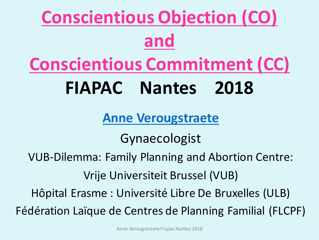# **Conscientious Objection (CO) and**

# **Conscientious Commitment (CC)** FIAPAC Nantes 2018

#### **Anne Verougstraete**

Gynaecologist

VUB-Dilemma: Family Planning and Abortion Centre:

Vrije Universiteit Brussel (VUB)

Hôpital Erasme : Université Libre De Bruxelles (ULB)

Fédération Laïque de Centres de Planning Familial (FLCPF)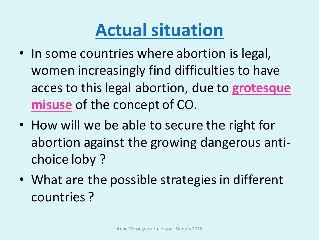### **Actual situation**

- In some countries where abortion is legal, women increasingly find difficulties to have acces to this legal abortion, due to **grotesque misuse** of the concept of CO.
- How will we be able to secure the right for abortion against the growing dangerous antichoice loby ?
- What are the possible strategies in different countries?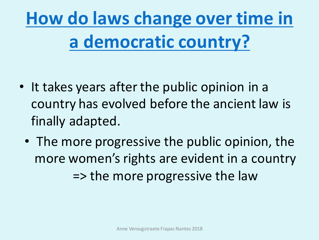# **How do laws change over time in** a democratic country?

- It takes years after the public opinion in a country has evolved before the ancient law is finally adapted.
	- The more progressive the public opinion, the more women's rights are evident in a country => the more progressive the law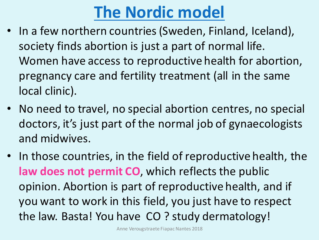#### **The Nordic model**

- In a few northern countries (Sweden, Finland, Iceland), society finds abortion is just a part of normal life. Women have access to reproductive health for abortion, pregnancy care and fertility treatment (all in the same local clinic).
- No need to travel, no special abortion centres, no special doctors, it's just part of the normal job of gynaecologists and midwives.
- In those countries, in the field of reproductive health, the law does not permit CO, which reflects the public opinion. Abortion is part of reproductive health, and if you want to work in this field, you just have to respect the law. Basta! You have CO? study dermatology!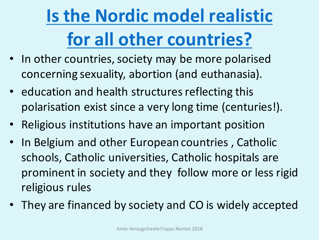# **Is the Nordic model realistic** for all other countries?

- In other countries, society may be more polarised concerning sexuality, abortion (and euthanasia).
- education and health structures reflecting this polarisation exist since a very long time (centuries!).
- Religious institutions have an important position
- In Belgium and other European countries, Catholic schools, Catholic universities, Catholic hospitals are prominent in society and they follow more or less rigid religious rules
- They are financed by society and CO is widely accepted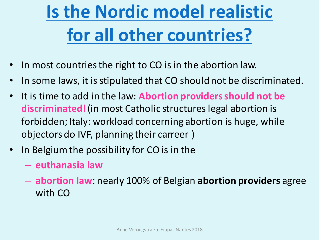# **Is the Nordic model realistic** for all other countries?

- In most countries the right to CO is in the abortion law.
- In some laws, it is stipulated that CO should not be discriminated.
- **•** It is time to add in the law: Abortion providers should not be **discriminated!** (in most Catholic structures legal abortion is forbidden; Italy: workload concerning abortion is huge, while objectors do IVF, planning their carreer)
- In Belgium the possibility for CO is in the
	- **euthanasia law**
	- $-$  **abortion law** nearly 100% of Belgian **abortion providers** agree with CO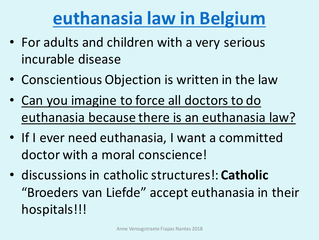#### **euthanasia law in Belgium**

- For adults and children with a very serious incurable disease
- Conscientious Objection is written in the law
- Can you imagine to force all doctors to do euthanasia because there is an euthanasia law?
- If I ever need euthanasia, I want a committed doctor with a moral conscience!
- discussions in catholic structures!: **Catholic** "Broeders van Liefde" accept euthanasia in their hospitals!!!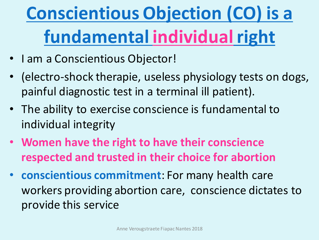# **Conscientious Objection (CO) is a fundamental individualright**

- I am a Conscientious Objector!
- (electro-shock therapie, useless physiology tests on dogs, painful diagnostic test in a terminal ill patient).
- The ability to exercise conscience is fundamental to individual integrity
- Women have the right to have their conscience **respected and trusted in their choice for abortion**
- **conscientious commitment:** For many health care workers providing abortion care, conscience dictates to provide this service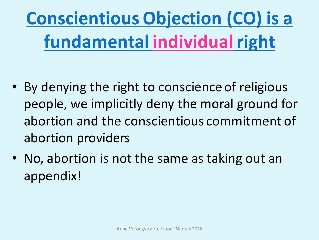# **Conscientious Objection (CO) is a fundamental individualright**

- By denying the right to conscience of religious people, we implicitly deny the moral ground for abortion and the conscientious commitment of abortion providers
- No, abortion is not the same as taking out an appendix!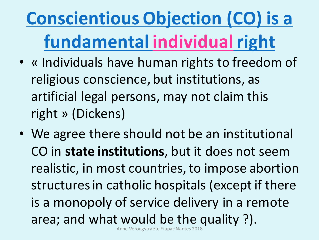# **Conscientious Objection (CO) is a fundamental individualright**

- « Individuals have human rights to freedom of religious conscience, but institutions, as artificial legal persons, may not claim this right » (Dickens)
- We agree there should not be an institutional CO in state institutions, but it does not seem realistic, in most countries, to impose abortion structures in catholic hospitals (except if there is a monopoly of service delivery in a remote area; and what would be the quality ?).

Anne Verougstraete Fiapac Nantes 2018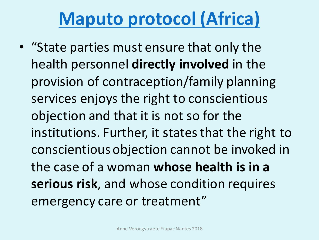#### **Maputo protocol (Africa)**

• "State parties must ensure that only the health personnel **directly involved** in the provision of contraception/family planning services enjoys the right to conscientious objection and that it is not so for the institutions. Further, it states that the right to conscientious objection cannot be invoked in the case of a woman **whose health is in a serious risk**, and whose condition requires emergency care or treatment"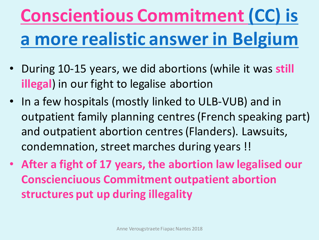# **Conscientious Commitment (CC) is a** more realistic answer in Belgium

- During 10-15 years, we did abortions (while it was **still illegal**) in our fight to legalise abortion
- In a few hospitals (mostly linked to ULB-VUB) and in outpatient family planning centres (French speaking part) and outpatient abortion centres (Flanders). Lawsuits, condemnation, street marches during years !!
- **After a fight of 17 years, the abortion law legalised our Conscienciuous Commitment outpatient abortion structures put up during illegality**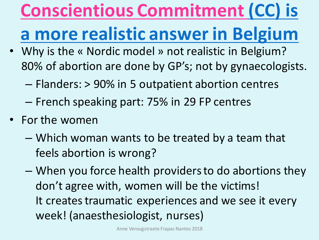### **Conscientious Commitment (CC) is a** more realistic answer in Belgium

- Why is the « Nordic model » not realistic in Belgium? 80% of abortion are done by GP's; not by gynaecologists.
	- Flanders: > 90% in 5 outpatient abortion centres
	- French speaking part: 75% in 29 FP centres
- For the women
	- Which woman wants to be treated by a team that feels abortion is wrong?
	- $-$  When you force health providers to do abortions they don't agree with, women will be the victims! It creates traumatic experiences and we see it every week! (anaesthesiologist, nurses)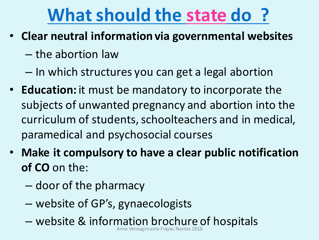### **What should the state do ?**

- **Clear neutral information via governmental websites**
	- $-$  the abortion law
	- $-$  In which structures you can get a legal abortion
- **Education:** it must be mandatory to incorporate the subjects of unwanted pregnancy and abortion into the curriculum of students, schoolteachers and in medical, paramedical and psychosocial courses
- Make it compulsory to have a clear public notification **of CO** on the:
	- door of the pharmacy
	- website of GP's, gynaecologists
	- $-$  website & information brochure of hospitals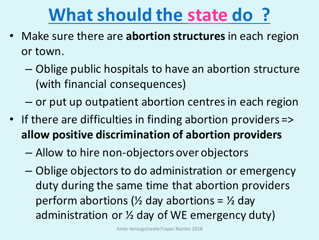### **What should the state do ?**

- Make sure there are **abortion structures** in each region or town.
	- $-$  Oblige public hospitals to have an abortion structure (with financial consequences)
	- $-$  or put up outpatient abortion centres in each region
- If there are difficulties in finding abortion providers => **allow positive discrimination of abortion providers**
	- Allow to hire non-objectors over objectors
	- Oblige objectors to do administration or emergency duty during the same time that abortion providers perform abortions ( $\frac{1}{2}$  day abortions =  $\frac{1}{2}$  day administration or  $\frac{1}{2}$  day of WE emergency duty)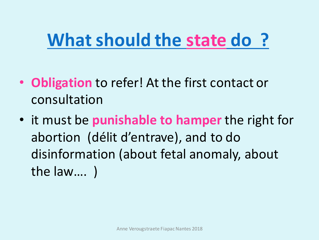### **What should the state do ?**

- **Obligation** to refer! At the first contact or consultation
- it must be **punishable to hamper** the right for abortion (délit d'entrave), and to do disinformation (about fetal anomaly, about the law....  $)$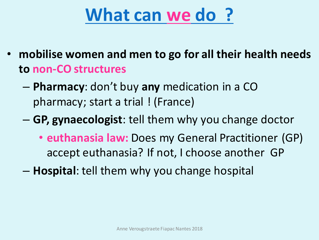### **What can we do ?**

- mobilise women and men to go for all their health needs **to non-CO structures**
	- $-$  **Pharmacy**: don't buy any medication in a CO pharmacy; start a trial ! (France)
	- $-$  GP, gynaecologist: tell them why you change doctor
		- **euthanasia law:** Does my General Practitioner (GP) accept euthanasia? If not, I choose another GP
	- $-$  **Hospital**: tell them why you change hospital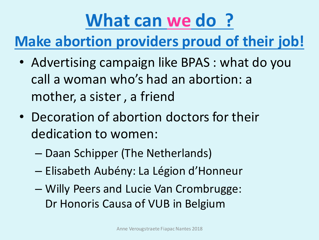### **What can we do ?**

#### **Make abortion providers proud of their job!**

- Advertising campaign like BPAS : what do you call a woman who's had an abortion: a mother, a sister, a friend
- Decoration of abortion doctors for their dedication to women:
	- Daan Schipper (The Netherlands)
	- Elisabeth Aubény: La Légion d'Honneur
	- Willy Peers and Lucie Van Crombrugge: Dr Honoris Causa of VUB in Belgium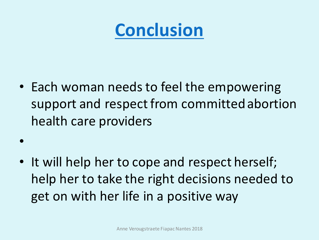#### **Conclusion**

• Each woman needs to feel the empowering support and respect from committed abortion health care providers

• It will help her to cope and respect herself; help her to take the right decisions needed to get on with her life in a positive way

•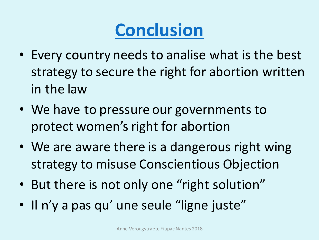### **Conclusion**

- Every country needs to analise what is the best strategy to secure the right for abortion written in the law
- We have to pressure our governments to protect women's right for abortion
- We are aware there is a dangerous right wing strategy to misuse Conscientious Objection
- But there is not only one "right solution"
- Il n'y a pas qu' une seule "ligne juste"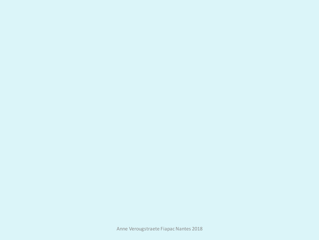Anne Verougstraete Fiapac Nantes 2018